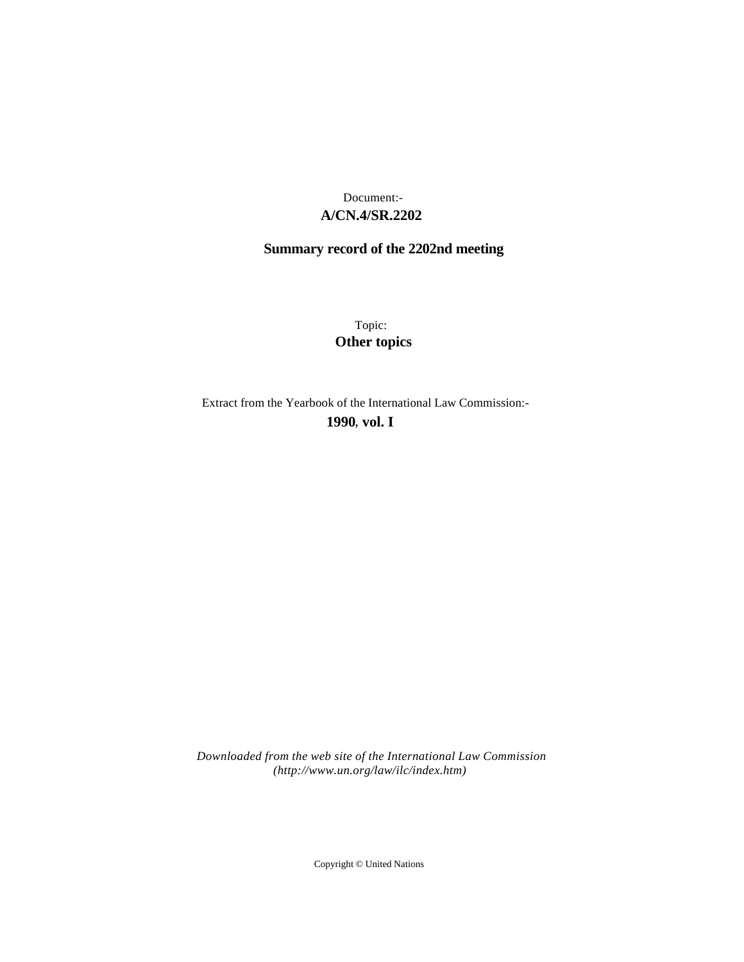# **A/CN.4/SR.2202** Document:-

# **Summary record of the 2202nd meeting**

Topic: **Other topics**

Extract from the Yearbook of the International Law Commission:-

**1990** , **vol. I**

*Downloaded from the web site of the International Law Commission (http://www.un.org/law/ilc/index.htm)*

Copyright © United Nations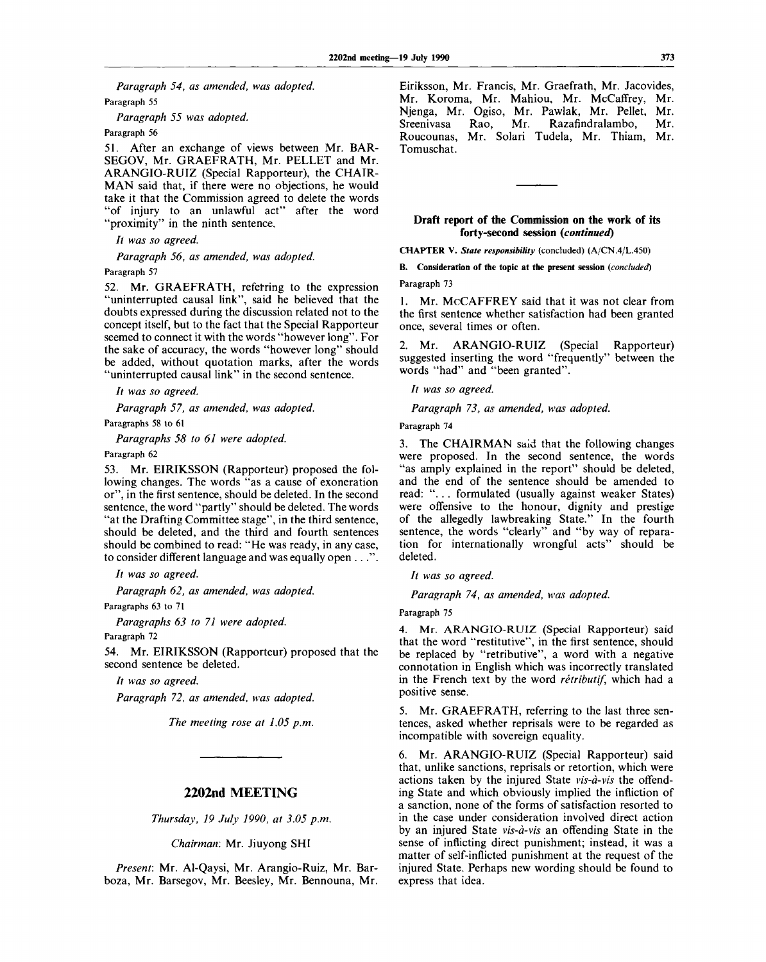*Paragraph 54, as amended, was adopted.* Paragraph 55

*Paragraph 55 was adopted.*

Paragraph 56

51. After an exchange of views between Mr. BAR-SEGOV, Mr. GRAEFRATH, Mr. PELLET and Mr. ARANGIO-RUIZ (Special Rapporteur), the CHAIR-MAN said that, if there were no objections, he would take it that the Commission agreed to delete the words "of injury to an unlawful act" after the word 'proximity" in the ninth sentence.

// *was so agreed.*

*Paragraph 56, as amended, was adopted.*

#### Paragraph 57

52. Mr. GRAEFRATH, referring to the expression "uninterrupted causal link", said he believed that the doubts expressed during the discussion related not to the concept itself, but to the fact that the Special Rapporteur seemed to connect it with the words "however long". For the sake of accuracy, the words "however long" should be added, without quotation marks, after the words "uninterrupted causal link" in the second sentence.

// *was so agreed.*

*Paragraph 57, as amended, was adopted.*

Paragraphs 58 to 61

*Paragraphs 58 to 61 were adopted.*

# Paragraph 62

53. Mr. EIRIKSSON (Rapporteur) proposed the following changes. The words "as a cause of exoneration or", in the first sentence, should be deleted. In the second sentence, the word "partly" should be deleted. The words "at the Drafting Committee stage", in the third sentence, should be deleted, and the third and fourth sentences should be combined to read: "He was ready, in any case, to consider different language and was equally open . . .".

*It was so agreed.*

*Paragraph 62, as amended, was adopted.*

Paragraphs 63 to 71

*Paragraphs 63 to 71 were adopted.* Paragraph 72

54. Mr. EIRIKSSON (Rapporteur) proposed that the second sentence be deleted.

// *was so agreed.*

*Paragraph 72, as amended, was adopted.*

*The meeting rose at 1.05 p.m.*

# **2202nd MEETING**

*Thursday, 19 July 1990, at 3.05 p.m.*

*Chairman:* Mr. Jiuyong SHI

*Present:* Mr. Al-Qaysi, Mr. Arangio-Ruiz, Mr. Barboza, Mr. Barsegov, Mr. Beesley, Mr. Bennouna, Mr. Eiriksson, Mr. Francis, Mr. Graefrath, Mr. Jacovides, Mr. Koroma, Mr. Mahiou, Mr. McCaffrey, Mr. Njenga, Mr. Ogiso, Mr. Pawlak, Mr. Pellet, Mr. Sreenivasa Rao, Mr. Razafindralambo, Mr. Roucounas, Mr. Solari Tudela, Mr. Thiam, Mr. Tomuschat.

## **Draft report of the Commission on the work of its forty-second session** *(continued)*

**CHAPTER V.** *State responsibility* (concluded) (A/CN.4/L.450)

**B. Consideration of the topic at the present session** *(concluded)*

Paragraph 73

1. Mr. McCAFFREY said that it was not clear from the first sentence whether satisfaction had been granted once, several times or often.

2. Mr. ARANGIO-RUIZ (Special Rapporteur) suggested inserting the word "frequently" between the words "had" and "been granted".

// *was so agreed.*

*Paragraph 73, as amended, was adopted.*

Paragraph 74

3. The CHAIRMAN said that the following changes were proposed. In the second sentence, the words "as amply explained in the report" should be deleted, and the end of the sentence should be amended to read: ".. . formulated (usually against weaker States) were offensive to the honour, dignity and prestige of the allegedly lawbreaking State." In the fourth sentence, the words "clearly" and "by way of reparation for internationally wrongful acts" should be deleted.

*It was so agreed.*

*Paragraph 74, as amended, was adopted.*

Paragraph 75

4. Mr. ARANGIO-RUIZ (Special Rapporteur) said that the word "restitutive", in the first sentence, should be replaced by "retributive", a word with a negative connotation in English which was incorrectly translated in the French text by the word *retributif,* which had a positive sense.

5. Mr. GRAEFRATH, referring to the last three sentences, asked whether reprisals were to be regarded as incompatible with sovereign equality.

6. Mr. ARANGIO-RUIZ (Special Rapporteur) said that, unlike sanctions, reprisals or retortion, which were actions taken by the injured State *vis-a-vis* the offending State and which obviously implied the infliction of a sanction, none of the forms of satisfaction resorted to in the case under consideration involved direct action by an injured State *vis-a-vis* an offending State in the sense of inflicting direct punishment; instead, it was a matter of self-inflicted punishment at the request of the injured State. Perhaps new wording should be found to express that idea.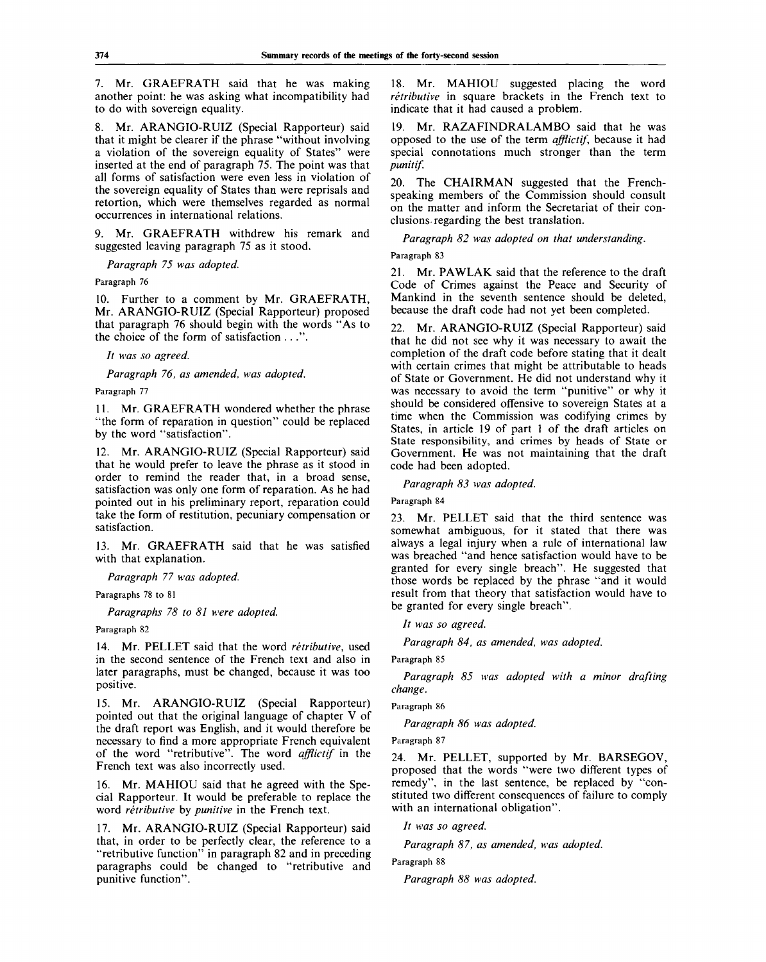7. Mr. GRAEFRATH said that he was making another point: he was asking what incompatibility had to do with sovereign equality.

8. Mr. ARANGIO-RUIZ (Special Rapporteur) said that it might be clearer if the phrase "without involving a violation of the sovereign equality of States" were inserted at the end of paragraph 75. The point was that all forms of satisfaction were even less in violation of the sovereign equality of States than were reprisals and retortion, which were themselves regarded as normal occurrences in international relations.

9. Mr. GRAEFRATH withdrew his remark and suggested leaving paragraph 75 as it stood.

*Paragraph 75 was adopted.*

#### Paragraph 76

10. Further to a comment by Mr. GRAEFRATH, Mr. ARANGIO-RUIZ (Special Rapporteur) proposed that paragraph 76 should begin with the words "As to the choice of the form of satisfaction . . .".

*It was so agreed.*

*Paragraph 76, as amended, was adopted.*

# Paragraph 77

11. Mr. GRAEFRATH wondered whether the phrase "the form of reparation in question" could be replaced by the word "satisfaction".

12. Mr. ARANGIO-RUIZ (Special Rapporteur) said that he would prefer to leave the phrase as it stood in order to remind the reader that, in a broad sense, satisfaction was only one form of reparation. As he had pointed out in his preliminary report, reparation could take the form of restitution, pecuniary compensation or satisfaction.

13. Mr. GRAEFRATH said that he was satisfied with that explanation.

*Paragraph 77 was adopted.*

Paragraphs 78 to 81

*Paragraphs 78 to 81 were adopted.*

Paragraph 82

14. Mr. PELLET said that the word *retributive,* used in the second sentence of the French text and also in later paragraphs, must be changed, because it was too positive.

15. Mr. ARANGIO-RUIZ (Special Rapporteur) pointed out that the original language of chapter V of the draft report was English, and it would therefore be necessary to find a more appropriate French equivalent of the word "retributive". The word *afflictif* in the French text was also incorrectly used.

16. Mr. MAHIOU said that he agreed with the Special Rapporteur. It would be preferable to replace the word *retributive* by *punitive* in the French text.

17. Mr. ARANGIO-RUIZ (Special Rapporteur) said that, in order to be perfectly clear, the reference to a "retributive function" in paragraph 82 and in preceding paragraphs could be changed to "retributive and punitive function".

18. Mr. MAHIOU suggested placing the word *retributive* in square brackets in the French text to indicate that it had caused a problem.

19. Mr. RAZAFINDRALAMBO said that he was opposed to the use of the term *afflictif,* because it had special connotations much stronger than the term *punitif.*

20. The CHAIRMAN suggested that the Frenchspeaking members of the Commission should consult on the matter and inform the Secretariat of their conclusions regarding the best translation.

*Paragraph 82 was adopted on that understanding.*

Paragraph 83

21. Mr. PAWLAK said that the reference to the draft Code of Crimes against the Peace and Security of Mankind in the seventh sentence should be deleted, because the draft code had not yet been completed.

22. Mr. ARANGIO-RUIZ (Special Rapporteur) said that he did not see why it was necessary to await the completion of the draft code before stating that it dealt with certain crimes that might be attributable to heads of State or Government. He did not understand why it was necessary to avoid the term "punitive" or why it should be considered offensive to sovereign States at a time when the Commission was codifying crimes by States, in article 19 of part 1 of the draft articles on State responsibility, and crimes by heads of State or Government. He was not maintaining that the draft code had been adopted.

*Paragraph 83 was adopted.*

Paragraph 84

23. Mr. PELLET said that the third sentence was somewhat ambiguous, for it stated that there was always a legal injury when a rule of international law was breached "and hence satisfaction would have to be granted for every single breach". He suggested that those words be replaced by the phrase "and it would result from that theory that satisfaction would have to be granted for every single breach".

*It was so agreed.*

*Paragraph 84, as amended, was adopted.*

Paragraph 85

*Paragraph 85 was adopted with a minor drafting change.*

Paragraph 86

*Paragraph 86 was adopted.*

Paragraph 87

24. Mr. PELLET, supported by Mr. BARSEGOV, proposed that the words "were two different types of remedy", in the last sentence, be replaced by "constituted two different consequences of failure to comply with an international obligation".

// *was so agreed.*

*Paragraph 87, as amended, was adopted.*

Paragraph 88

*Paragraph 88 was adopted.*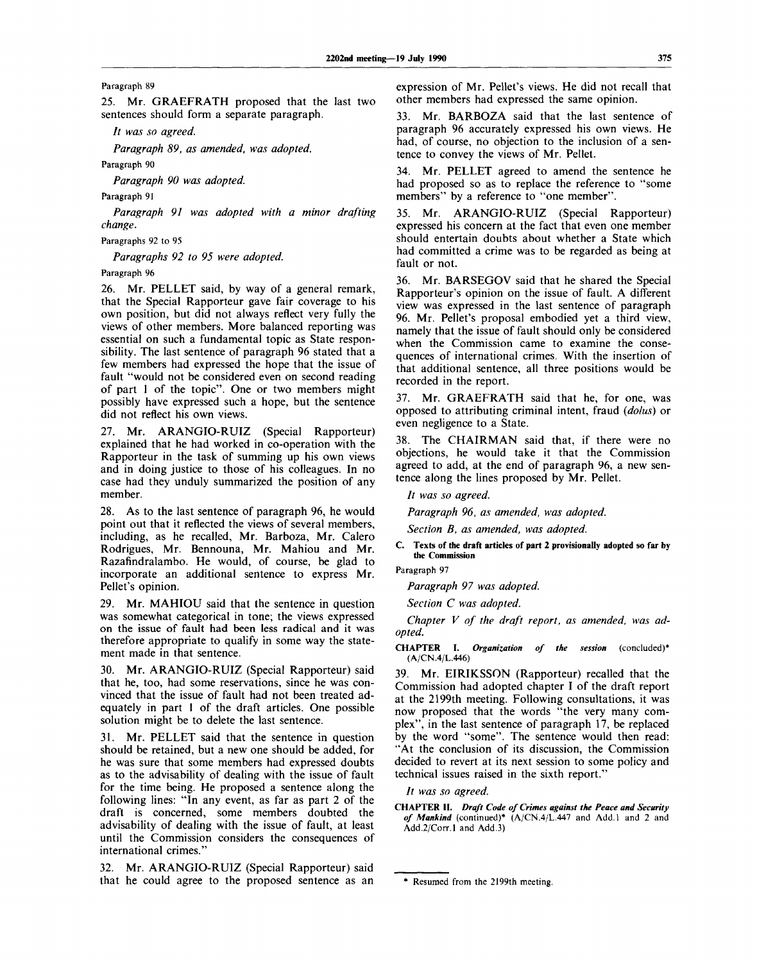Paragraph 89

25. Mr. GRAEFRATH proposed that the last two sentences should form a separate paragraph.

// *was so agreed.*

*Paragraph 89, as amended, was adopted.*

Paragraph 90

*Paragraph 90 was adopted.*

Paragraph 91

*Paragraph 91 was adopted with a minor drafting change.*

Paragraphs 92 to 95

*Paragraphs 92 to 95 were adopted.*

Paragraph 96

26. Mr. PELLET said, by way of a general remark, that the Special Rapporteur gave fair coverage to his own position, but did not always reflect very fully the views of other members. More balanced reporting was essential on such a fundamental topic as State responsibility. The last sentence of paragraph 96 stated that a few members had expressed the hope that the issue of fault "would not be considered even on second reading of part 1 of the topic". One or two members might possibly have expressed such a hope, but the sentence did not reflect his own views.

27. Mr. ARANGIO-RUIZ (Special Rapporteur) explained that he had worked in co-operation with the Rapporteur in the task of summing up his own views and in doing justice to those of his colleagues. In no case had they unduly summarized the position of any member.

28. As to the last sentence of paragraph 96, he would point out that it reflected the views of several members, including, as he recalled, Mr. Barboza, Mr. Calero Rodrigues, Mr. Bennouna, Mr. Mahiou and Mr. Razafindralambo. He would, of course, be glad to incorporate an additional sentence to express Mr. Pellet's opinion.

29. Mr. MAHIOU said that the sentence in question was somewhat categorical in tone; the views expressed on the issue of fault had been less radical and it was therefore appropriate to qualify in some way the statement made in that sentence.

30. Mr. ARANGIO-RUIZ (Special Rapporteur) said that he, too, had some reservations, since he was convinced that the issue of fault had not been treated adequately in part 1 of the draft articles. One possible solution might be to delete the last sentence.

31. Mr. PELLET said that the sentence in question should be retained, but a new one should be added, for he was sure that some members had expressed doubts as to the advisability of dealing with the issue of fault for the time being. He proposed a sentence along the following lines: "In any event, as far as part 2 of the draft is concerned, some members doubted the advisability of dealing with the issue of fault, at least until the Commission considers the consequences of international crimes."

32. Mr. ARANGIO-RUIZ (Special Rapporteur) said that he could agree to the proposed sentence as an

expression of Mr. Pellet's views. He did not recall that other members had expressed the same opinion.

33. Mr. BARBOZA said that the last sentence of paragraph 96 accurately expressed his own views. He had, of course, no objection to the inclusion of a sentence to convey the views of Mr. Pellet.

34. Mr. PELLET agreed to amend the sentence he had proposed so as to replace the reference to "some members" by a reference to "one member".

35. Mr. ARANGIO-RUIZ (Special Rapporteur) expressed his concern at the fact that even one member should entertain doubts about whether a State which had committed a crime was to be regarded as being at fault or not.

36. Mr. BARSEGOV said that he shared the Special Rapporteur's opinion on the issue of fault. A different view was expressed in the last sentence of paragraph 96. Mr. Pellet's proposal embodied yet a third view, namely that the issue of fault should only be considered when the Commission came to examine the consequences of international crimes. With the insertion of that additional sentence, all three positions would be recorded in the report.

37. Mr. GRAEFRATH said that he, for one, was opposed to attributing criminal intent, fraud *(dolus)* or even negligence to a State.

38. The CHAIRMAN said that, if there were no objections, he would take it that the Commission agreed to add, at the end of paragraph 96, a new sentence along the lines proposed by Mr. Pellet.

*It was so agreed.*

*Paragraph 96, as amended, was adopted.*

*Section B, as amended, was adopted.*

**C. Texts of the draft articles of part 2 provisionally adopted so far by the Commission**

Paragraph 97

*Paragraph 97 was adopted.*

*Section C was adopted.*

*Chapter V of the draft report, as amended, was adopted.*

**CHAPTER I.** *Organization of the session* (concluded)\* (A/CN.4/L.446)

39. Mr. EIRIKSSON (Rapporteur) recalled that the Commission had adopted chapter I of the draft report at the 2199th meeting. Following consultations, it was now proposed that the words "the very many complex", in the last sentence of paragraph 17, be replaced by the word "some". The sentence would then read: "At the conclusion of its discussion, the Commission decided to revert at its next session to some policy and technical issues raised in the sixth report."

*It was so agreed.*

**CHAPTER II.** *Draft Code of Crimes against the Peace and Security of Mankind* (continued)\* (A/CN.4/L.447 and Add.l and 2 and Add.2/Corr.l and Add.3)

<sup>\*</sup> Resumed from the 2199th meeting.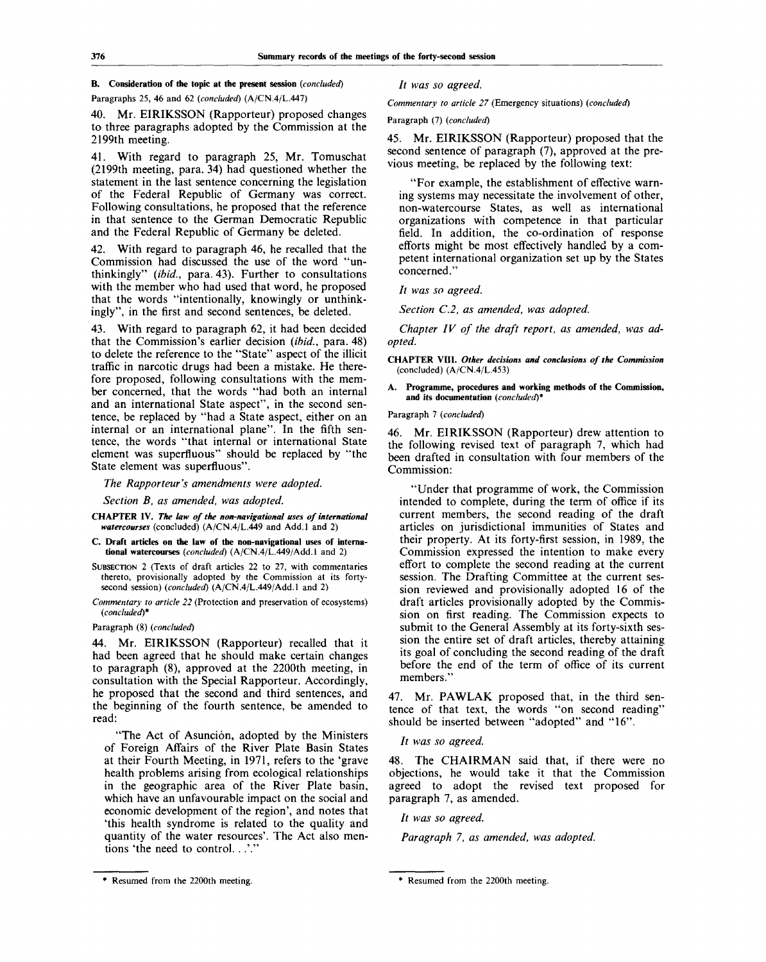# **B. Consideration of the topic at the present session** *(concluded)*

Paragraphs 25, 46 and 62 *(concluded)* (A/CN.4/L.447)

40. Mr. EIRIKSSON (Rapporteur) proposed changes to three paragraphs adopted by the Commission at the 2199th meeting.

With regard to paragraph 25, Mr. Tomuschat (2199th meeting, para. 34) had questioned whether the statement in the last sentence concerning the legislation of the Federal Republic of Germany was correct. Following consultations, he proposed that the reference in that sentence to the German Democratic Republic and the Federal Republic of Germany be deleted.

42. With regard to paragraph 46, he recalled that the Commission had discussed the use of the word "unthinkingly" *(ibid.,* para. 43). Further to consultations with the member who had used that word, he proposed that the words "intentionally, knowingly or unthinkingly", in the first and second sentences, be deleted.

43. With regard to paragraph 62, it had been decided that the Commission's earlier decision *(ibid.,* para. 48) to delete the reference to the "State" aspect of the illicit traffic in narcotic drugs had been a mistake. He therefore proposed, following consultations with the member concerned, that the words "had both an internal and an international State aspect", in the second sentence, be replaced by "had a State aspect, either on an internal or an international plane". In the fifth sentence, the words "that internal or international State element was superfluous" should be replaced by "the State element was superfluous".

*The Rapporteur's amendments were adopted.*

*Section B, as amended, was adopted.*

- **CHAPTER IV.** *The law of the non-navigational uses of international watercourses* (concluded) (A/CN.4/L.449 and Add.l and 2)
- C. **Draft articles on the law of the non-navigational uses of international watercourses** *(concluded)* (A/CN.4/L.449/Add.l and 2)
- SUBSECTION 2 (Texts of draft articles 22 to 27, with commentaries thereto, provisionally adopted by the Commission at its fortysecond session) *(concluded)* (A/CN.4/L.449/Add.l and 2)
- *Commentary to article 22* (Protection and preservation of ecosystems) *(concluded)\**

Paragraph (8) *(concluded)*

44. Mr. EIRIKSSON (Rapporteur) recalled that it had been agreed that he should make certain changes to paragraph (8), approved at the 2200th meeting, in consultation with the Special Rapporteur. Accordingly, he proposed that the second and third sentences, and the beginning of the fourth sentence, be amended to read:

"The Act of Asunción, adopted by the Ministers of Foreign Affairs of the River Plate Basin States at their Fourth Meeting, in 1971, refers to the 'grave health problems arising from ecological relationships in the geographic area of the River Plate basin, which have an unfavourable impact on the social and economic development of the region', and notes that 'this health syndrome is related to the quality and quantity of the water resources'. The Act also mentions 'the need to control...'.'

// *was so agreed.*

*Commentary to article 27* (Emergency situations) *(concluded)*

Paragraph (7) *(concluded)*

45. Mr. EIRIKSSON (Rapporteur) proposed that the second sentence of paragraph (7), approved at the previous meeting, be replaced by the following text:

"For example, the establishment of effective warning systems may necessitate the involvement of other, non-watercourse States, as well as international organizations with competence in that particular field. In addition, the co-ordination of response efforts might be most effectively handled by a competent international organization set up by the States concerned."

// *was so agreed.*

*Section C.2, as amended, was adopted.*

*Chapter IV of the draft report, as amended, was adopted.*

**CHAPTER VIII.** *Other decisions and conclusions of the Commission* (concluded) (A/CN.4/L.453)

**A. Programme, procedures and working methods of the Commission, and its documentation** *(concluded)\**

Paragraph 7 *(concluded)*

46. Mr. EIRIKSSON (Rapporteur) drew attention to the following revised text of paragraph 7, which had been drafted in consultation with four members of the Commission:

"Under that programme of work, the Commission intended to complete, during the term of office if its current members, the second reading of the draft articles on jurisdictional immunities of States and their property. At its forty-first session, in 1989, the Commission expressed the intention to make every effort to complete the second reading at the current session. The Drafting Committee at the current session reviewed and provisionally adopted 16 of the draft articles provisionally adopted by the Commission on first reading. The Commission expects to submit to the General Assembly at its forty-sixth session the entire set of draft articles, thereby attaining its goal of concluding the second reading of the draft before the end of the term of office of its current members."

47. Mr. PAWLAK proposed that, in the third sentence of that text, the words "on second reading" should be inserted between "adopted" and "16".

// *was so agreed.*

48. The CHAIRMAN said that, if there were no objections, he would take it that the Commission agreed to adopt the revised text proposed for paragraph 7, as amended.

*It was so agreed.*

*Paragraph 7, as amended, was adopted.*

*<sup>\*</sup>* Resumed from the 2200th meeting. \* Resumed from the 2200th meeting.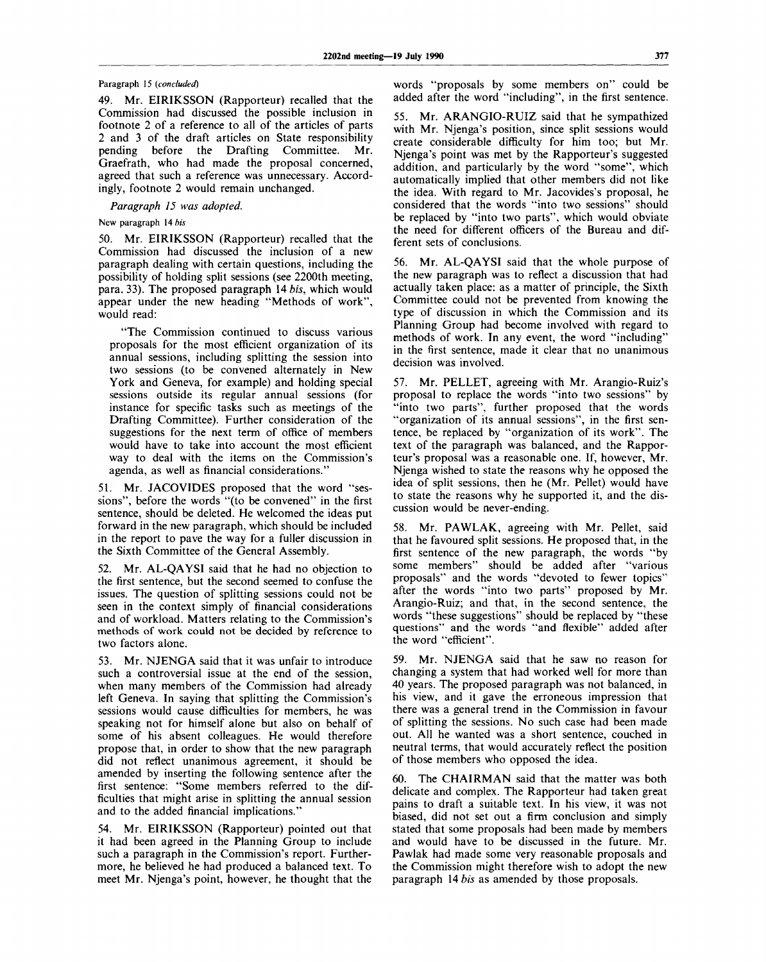# Paragraph 15 *(concluded)*

49. Mr. EIRIKSSON (Rapporteur) recalled that the Commission had discussed the possible inclusion in footnote 2 of a reference to all of the articles of parts 2 and 3 of the draft articles on State responsibility pending before the Drafting Committee. Mr. Graefrath, who had made the proposal concerned, agreed that such a reference was unnecessary. Accordingly, footnote 2 would remain unchanged.

*Paragraph 15 was adopted.*

New paragraph 14 *bis*

50. Mr. EIRIKSSON (Rapporteur) recalled that the Commission had discussed the inclusion of a new paragraph dealing with certain questions, including the possibility of holding split sessions (see 2200th meeting, para. 33). The proposed paragraph 14 *bis,* which would appear under the new heading "Methods of work", would read:

"The Commission continued to discuss various proposals for the most efficient organization of its annual sessions, including splitting the session into two sessions (to be convened alternately in New York and Geneva, for example) and holding special sessions outside its regular annual sessions (for instance for specific tasks such as meetings of the Drafting Committee). Further consideration of the suggestions for the next term of office of members would have to take into account the most efficient way to deal with the items on the Commission's agenda, as well as financial considerations."

51. Mr. JACOVIDES proposed that the word "sessions", before the words "(to be convened" in the first sentence, should be deleted. He welcomed the ideas put forward in the new paragraph, which should be included in the report to pave the way for a fuller discussion in the Sixth Committee of the General Assembly.

52. Mr. AL-QAYSI said that he had no objection to the first sentence, but the second seemed to confuse the issues. The question of splitting sessions could not be seen in the context simply of financial considerations and of workload. Matters relating to the Commission's methods of work could not be decided by reference to two factors alone.

53. Mr. NJENGA said that it was unfair to introduce such a controversial issue at the end of the session, when many members of the Commission had already left Geneva. In saying that splitting the Commission's sessions would cause difficulties for members, he was speaking not for himself alone but also on behalf of some of his absent colleagues. He would therefore propose that, in order to show that the new paragraph did not reflect unanimous agreement, it should be amended by inserting the following sentence after the first sentence: "Some members referred to the difficulties that might arise in splitting the annual session and to the added financial implications."

54. Mr. EIRIKSSON (Rapporteur) pointed out that it had been agreed in the Planning Group to include such a paragraph in the Commission's report. Furthermore, he believed he had produced a balanced text. To meet Mr. Njenga's point, however, he thought that the

words "proposals by some members on" could be added after the word "including", in the first sentence.

55. Mr. ARANGIO-RUIZ said that he sympathized with Mr. Njenga's position, since split sessions would create considerable difficulty for him too; but Mr. Njenga's point was met by the Rapporteur's suggested addition, and particularly by the word "some", which automatically implied that other members did not like the idea. With regard to Mr. Jacovides's proposal, he considered that the words "into two sessions" should be replaced by "into two parts", which would obviate the need for different officers of the Bureau and different sets of conclusions.

56. Mr. AL-QAYSI said that the whole purpose of the new paragraph was to reflect a discussion that had actually taken place: as a matter of principle, the Sixth Committee could not be prevented from knowing the type of discussion in which the Commission and its Planning Group had become involved with regard to methods of work. In any event, the word "including" in the first sentence, made it clear that no unanimous decision was involved.

57. Mr. PELLET, agreeing with Mr. Arangio-Ruiz's proposal to replace the words "into two sessions" by "into two parts", further proposed that the words "organization of its annual sessions", in the first sentence, be replaced by "organization of its work". The text of the paragraph was balanced, and the Rapporteur's proposal was a reasonable one. If, however, Mr. Njenga wished to state the reasons why he opposed the idea of split sessions, then he (Mr. Pellet) would have to state the reasons why he supported it, and the discussion would be never-ending.

58. Mr. PAWLAK, agreeing with Mr. Pellet, said that he favoured split sessions. He proposed that, in the first sentence of the new paragraph, the words "by some members" should be added after "various proposals" and the words "devoted to fewer topics" after the words "into two parts" proposed by Mr. Arangio-Ruiz; and that, in the second sentence, the words "these suggestions" should be replaced by "these questions" and the words "and flexible" added after the word "efficient".

59. Mr. NJENGA said that he saw no reason for changing a system that had worked well for more than 40 years. The proposed paragraph was not balanced, in his view, and it gave the erroneous impression that there was a general trend in the Commission in favour of splitting the sessions. No such case had been made out. All he wanted was a short sentence, couched in neutral terms, that would accurately reflect the position of those members who opposed the idea.

60. The CHAIRMAN said that the matter was both delicate and complex. The Rapporteur had taken great pains to draft a suitable text. In his view, it was not biased, did not set out a firm conclusion and simply stated that some proposals had been made by members and would have to be discussed in the future. Mr. Pawlak had made some very reasonable proposals and the Commission might therefore wish to adopt the new paragraph 14 *bis* as amended by those proposals.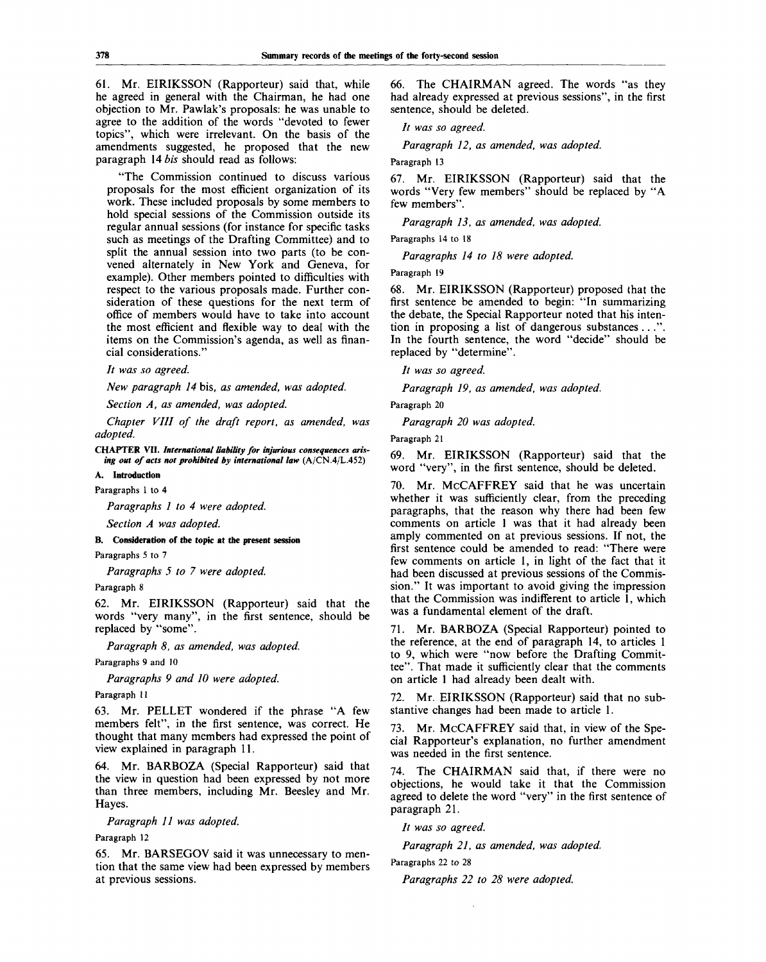61. Mr. EIRIKSSON (Rapporteur) said that, while he agreed in general with the Chairman, he had one objection to Mr. Pawlak's proposals: he was unable to agree to the addition of the words "devoted to fewer topics", which were irrelevant. On the basis of the amendments suggested, he proposed that the new paragraph 14 *bis* should read as follows:

"The Commission continued to discuss various proposals for the most efficient organization of its work. These included proposals by some members to hold special sessions of the Commission outside its regular annual sessions (for instance for specific tasks such as meetings of the Drafting Committee) and to split the annual session into two parts (to be convened alternately in New York and Geneva, for example). Other members pointed to difficulties with respect to the various proposals made. Further consideration of these questions for the next term of office of members would have to take into account the most efficient and flexible way to deal with the items on the Commission's agenda, as well as financial considerations."

// *was so agreed.*

*New paragraph 14* bis, *as amended, was adopted.*

*Section A, as amended, was adopted.*

*Chapter VIII of the draft report, as amended, was adopted.*

**CHAPTER VII.** *International liability for injurious consequences arising out of acts not prohibited by international law* (A/CN.4/L.452)

**A. Introduction**

Paragraphs 1 to 4

*Paragraphs 1 to 4 were adopted.*

*Section A was adopted.*

**B. Consideration of the topic at the present session**

Paragraphs 5 to 7

*Paragraphs 5 to 7 were adopted.*

Paragraph 8

62. Mr. EIRIKSSON (Rapporteur) said that the words "very many", in the first sentence, should be replaced by "some".

*Paragraph 8, as amended, was adopted.*

Paragraphs 9 and 10

*Paragraphs 9 and 10 were adopted.*

Paragraph 11

63. Mr. PELLET wondered if the phrase "A few members felt", in the first sentence, was correct. He thought that many members had expressed the point of view explained in paragraph 11.

64. Mr. BARBOZA (Special Rapporteur) said that the view in question had been expressed by not more than three members, including Mr. Beesley and Mr. Hayes.

*Paragraph 11 was adopted.*

Paragraph 12

65. Mr. BARSEGOV said it was unnecessary to mention that the same view had been expressed by members at previous sessions.

66. The CHAIRMAN agreed. The words "as they had already expressed at previous sessions", in the first sentence, should be deleted.

*It was so agreed.*

*Paragraph 12, as amended, was adopted.*

Paragraph 13

67. Mr. EIRIKSSON (Rapporteur) said that the words "Very few members" should be replaced by "A few members".

*Paragraph 13, as amended, was adopted.*

Paragraphs 14 to 18

*Paragraphs 14 to 18 were adopted.*

Paragraph 19

68. Mr. EIRIKSSON (Rapporteur) proposed that the first sentence be amended to begin: "In summarizing the debate, the Special Rapporteur noted that his intention in proposing a list of dangerous substances .. .". In the fourth sentence, the word "decide" should be replaced by "determine".

// *was so agreed.*

*Paragraph 19, as amended, was adopted.*

Paragraph 20

*Paragraph 20 was adopted.*

Paragraph 21

69. Mr. EIRIKSSON (Rapporteur) said that the word "very", in the first sentence, should be deleted.

70. Mr. McCAFFREY said that he was uncertain whether it was sufficiently clear, from the preceding paragraphs, that the reason why there had been few comments on article 1 was that it had already been amply commented on at previous sessions. If not, the first sentence could be amended to read: "There were few comments on article 1, in light of the fact that it had been discussed at previous sessions of the Commission." It was important to avoid giving the impression that the Commission was indifferent to article 1, which was a fundamental element of the draft.

71. Mr. BARBOZA (Special Rapporteur) pointed to the reference, at the end of paragraph 14, to articles 1 to 9, which were "now before the Drafting Committee". That made it sufficiently clear that the comments on article 1 had already been dealt with.

72. Mr. EIRIKSSON (Rapporteur) said that no substantive changes had been made to article 1.

73. Mr. McCAFFREY said that, in view of the Special Rapporteur's explanation, no further amendment was needed in the first sentence.

74. The CHAIRMAN said that, if there were no objections, he would take it that the Commission agreed to delete the word "very" in the first sentence of paragraph 21.

// *was so agreed.*

*Paragraph 21, as amended, was adopted.*

Paragraphs 22 to 28

*Paragraphs 22 to 28 were adopted.*